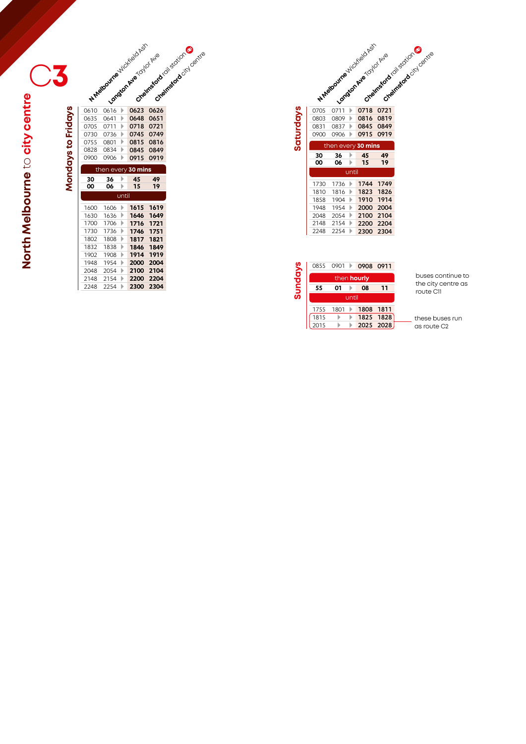**Mondays to Fridays**

Mondays to Fridays

|              | H. Melbourne World Basic |        |                               | Creatness de colisions of     |
|--------------|--------------------------|--------|-------------------------------|-------------------------------|
|              |                          |        |                               |                               |
|              |                          |        |                               |                               |
|              |                          |        |                               |                               |
|              |                          |        |                               |                               |
|              |                          |        |                               |                               |
|              |                          |        |                               | Creativescription of creative |
| 0610         | 0616                     | Þ      | Langun Ave (0) Or Ave<br>0623 | 0626                          |
| 0635         | 0641                     | Þ      | 0648                          | 0651                          |
| 0705         | 0711                     | Þ      | 0718                          | 0721                          |
| 0730         | 0736                     | Þ      | 0745                          | 0749                          |
| 0755         | 0801                     | Þ      | 0815                          | 0816                          |
| 0828         | 0834                     | Þ      | 0845                          | 0849                          |
| 0900         | 0906                     | Þ      | 0915                          | 0919                          |
|              |                          |        |                               |                               |
|              |                          |        | then every 30 mins            |                               |
| 30           | 36                       | Þ      | 45                            | 49                            |
| OO           | 06                       | Þ      | 15                            | 19                            |
|              |                          | until  |                               |                               |
| 1600         | 1606                     | Þ      | 1615                          | 1619                          |
| 1630         | 1636                     | Þ      | 1646                          | 1649                          |
| 1700         | 1706                     | Þ      | 1716                          | 1721                          |
| 1730         | 1736                     | Þ      | 1746                          | 1751                          |
| 1802         | 1808                     | Þ      | 1817                          | 1821                          |
| 1832         | 1838                     | Þ      | 1846                          | 1849                          |
| 1902         | 1908                     | Þ      | 1914                          | 1919                          |
| 1948         | 1954                     | Þ      | 2000                          | 2004                          |
| 2048         | 2054                     | Þ      | 2100                          | 2104                          |
| 2148<br>2248 | 2154<br>2254             | Þ<br>Þ | 2200<br>2300                  | 2204<br>2304                  |

|           |      |      |       | N. Malbourne July Capital<br>Langua Ave Collocation | Createsford cities cotton<br>Creamsford oici contrie |
|-----------|------|------|-------|-----------------------------------------------------|------------------------------------------------------|
|           | 0705 | 0711 | Þ     | 0718                                                | 0721                                                 |
|           | 0803 | 0809 | Þ     | 0816                                                | 0819                                                 |
|           | 0831 | 0837 | Þ     | 0845                                                | 0849                                                 |
| Saturdays | 0900 | 0906 | Þ     | 0915                                                | 0919                                                 |
|           |      |      |       | then every 30 mins                                  |                                                      |
|           |      |      |       |                                                     |                                                      |
|           | 30   | 36   | Þ     | 45                                                  | 49                                                   |
|           | 00   | 06   | ь     | 15                                                  | 19                                                   |
|           |      |      | until |                                                     |                                                      |
|           | 1730 | 1736 | Þ     |                                                     | 1744 1749                                            |
|           | 1810 | 1816 | Þ     |                                                     | 1823 1826                                            |
|           | 1858 | 1904 | Þ     | 1910                                                | 1914                                                 |
|           | 1948 | 1954 | Þ     | 2000                                                | 2004                                                 |
|           | 2048 | 2054 | Þ     | 2100                                                | 2104                                                 |
|           | 2148 | 2154 | Þ     | 2200                                                | 2204                                                 |

|                | 0855               | - 0901 |       | 0908 0911 |      |  |  |  |  |  |
|----------------|--------------------|--------|-------|-----------|------|--|--|--|--|--|
| <b>Sundays</b> | then <b>hourly</b> |        |       |           |      |  |  |  |  |  |
|                | 55                 | 01     |       | 08        | 11   |  |  |  |  |  |
|                |                    |        | until |           |      |  |  |  |  |  |
|                | 1755               | 1801   |       | 1808      | 1811 |  |  |  |  |  |
|                | 1815               |        |       | 1825 1828 |      |  |  |  |  |  |
|                | 2015               |        |       | 2025 2028 |      |  |  |  |  |  |

buses continue to the city centre as route C11

these buses run as route C2